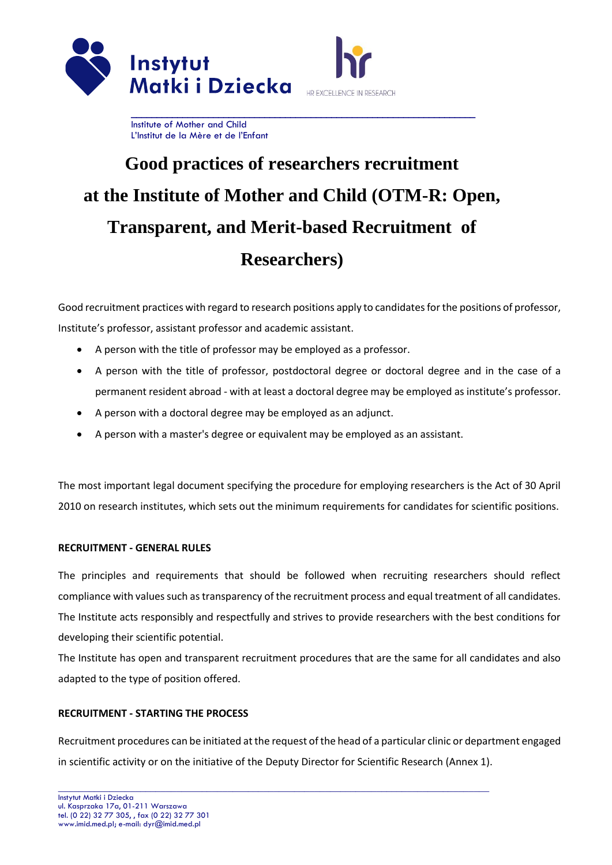

# **Good practices of researchers recruitment at the Institute of Mother and Child (OTM-R: Open, Transparent, and Merit-based Recruitment of Researchers)**

Good recruitment practices with regard to research positions apply to candidates for the positions of professor, Institute's professor, assistant professor and academic assistant.

- A person with the title of professor may be employed as a professor.
- A person with the title of professor, postdoctoral degree or doctoral degree and in the case of a permanent resident abroad - with at least a doctoral degree may be employed as institute's professor.
- A person with a doctoral degree may be employed as an adjunct.
- A person with a master's degree or equivalent may be employed as an assistant.

The most important legal document specifying the procedure for employing researchers is the Act of 30 April 2010 on research institutes, which sets out the minimum requirements for candidates for scientific positions.

## **RECRUITMENT - GENERAL RULES**

The principles and requirements that should be followed when recruiting researchers should reflect compliance with values such as transparency of the recruitment process and equal treatment of all candidates. The Institute acts responsibly and respectfully and strives to provide researchers with the best conditions for developing their scientific potential.

The Institute has open and transparent recruitment procedures that are the same for all candidates and also adapted to the type of position offered.

# **RECRUITMENT - STARTING THE PROCESS**

Recruitment procedures can be initiated at the request of the head of a particular clinic or department engaged in scientific activity or on the initiative of the Deputy Director for Scientific Research (Annex 1).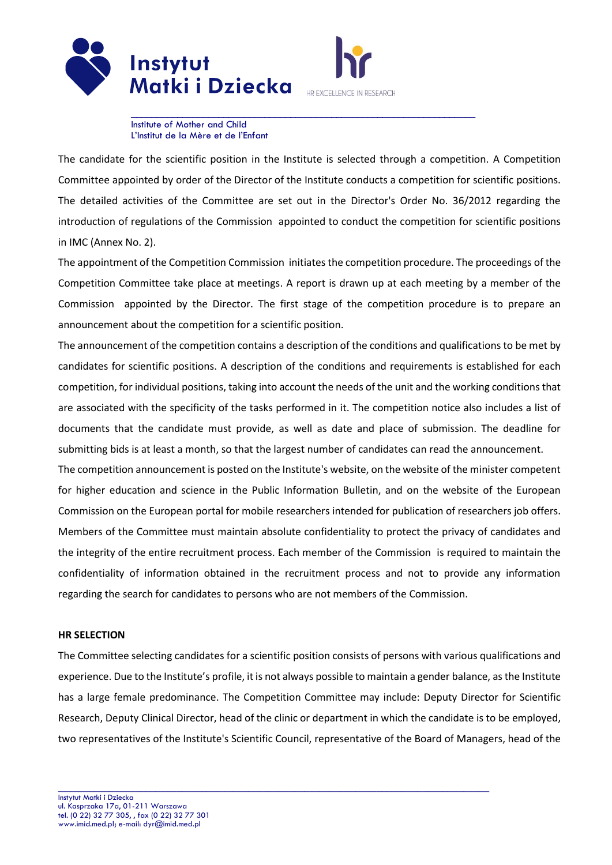

HR EXCELLENCE IN RESEARCH

**\_\_\_\_\_\_\_\_\_\_\_\_\_\_\_\_\_\_\_\_\_\_\_\_\_\_\_\_\_\_\_\_\_\_\_\_\_\_\_\_\_\_\_\_\_\_\_\_\_\_\_\_\_\_\_\_\_\_\_\_\_\_\_\_\_\_\_**  Institute of Mother and Child L'Institut de la Mère et de l'Enfant

The candidate for the scientific position in the Institute is selected through a competition. A Competition Committee appointed by order of the Director of the Institute conducts a competition for scientific positions. The detailed activities of the Committee are set out in the Director's Order No. 36/2012 regarding the introduction of regulations of the Commission appointed to conduct the competition for scientific positions in IMC (Annex No. 2).

The appointment of the Competition Commission initiates the competition procedure. The proceedings of the Competition Committee take place at meetings. A report is drawn up at each meeting by a member of the Commission appointed by the Director. The first stage of the competition procedure is to prepare an announcement about the competition for a scientific position.

The announcement of the competition contains a description of the conditions and qualifications to be met by candidates for scientific positions. A description of the conditions and requirements is established for each competition, for individual positions, taking into account the needs of the unit and the working conditions that are associated with the specificity of the tasks performed in it. The competition notice also includes a list of documents that the candidate must provide, as well as date and place of submission. The deadline for submitting bids is at least a month, so that the largest number of candidates can read the announcement.

The competition announcement is posted on the Institute's website, on the website of the minister competent for higher education and science in the Public Information Bulletin, and on the website of the European Commission on the European portal for mobile researchers intended for publication of researchers job offers. Members of the Committee must maintain absolute confidentiality to protect the privacy of candidates and the integrity of the entire recruitment process. Each member of the Commission is required to maintain the confidentiality of information obtained in the recruitment process and not to provide any information regarding the search for candidates to persons who are not members of the Commission.

## **HR SELECTION**

The Committee selecting candidates for a scientific position consists of persons with various qualifications and experience. Due to the Institute's profile, it is not always possible to maintain a gender balance, as the Institute has a large female predominance. The Competition Committee may include: Deputy Director for Scientific Research, Deputy Clinical Director, head of the clinic or department in which the candidate is to be employed, two representatives of the Institute's Scientific Council, representative of the Board of Managers, head of the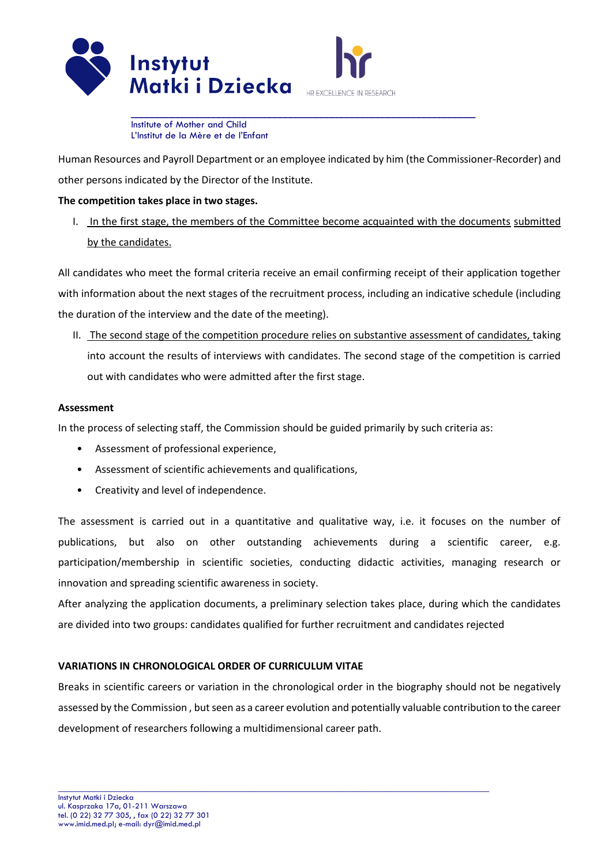

HR EXCELLENCE IN RESEARCH

**\_\_\_\_\_\_\_\_\_\_\_\_\_\_\_\_\_\_\_\_\_\_\_\_\_\_\_\_\_\_\_\_\_\_\_\_\_\_\_\_\_\_\_\_\_\_\_\_\_\_\_\_\_\_\_\_\_\_\_\_\_\_\_\_\_\_\_**  Institute of Mother and Child L'Institut de la Mère et de l'Enfant

Human Resources and Payroll Department or an employee indicated by him (the Commissioner-Recorder) and other persons indicated by the Director of the Institute.

# **The competition takes place in two stages.**

I. In the first stage, the members of the Committee become acquainted with the documents submitted by the candidates.

All candidates who meet the formal criteria receive an email confirming receipt of their application together with information about the next stages of the recruitment process, including an indicative schedule (including the duration of the interview and the date of the meeting).

II. The second stage of the competition procedure relies on substantive assessment of candidates, taking into account the results of interviews with candidates. The second stage of the competition is carried out with candidates who were admitted after the first stage.

## **Assessment**

In the process of selecting staff, the Commission should be guided primarily by such criteria as:

- Assessment of professional experience,
- Assessment of scientific achievements and qualifications,
- Creativity and level of independence.

The assessment is carried out in a quantitative and qualitative way, i.e. it focuses on the number of publications, but also on other outstanding achievements during a scientific career, e.g. participation/membership in scientific societies, conducting didactic activities, managing research or innovation and spreading scientific awareness in society.

After analyzing the application documents, a preliminary selection takes place, during which the candidates are divided into two groups: candidates qualified for further recruitment and candidates rejected

## **VARIATIONS IN CHRONOLOGICAL ORDER OF CURRICULUM VITAE**

Breaks in scientific careers or variation in the chronological order in the biography should not be negatively assessed by the Commission , but seen as a career evolution and potentially valuable contribution to the career development of researchers following a multidimensional career path.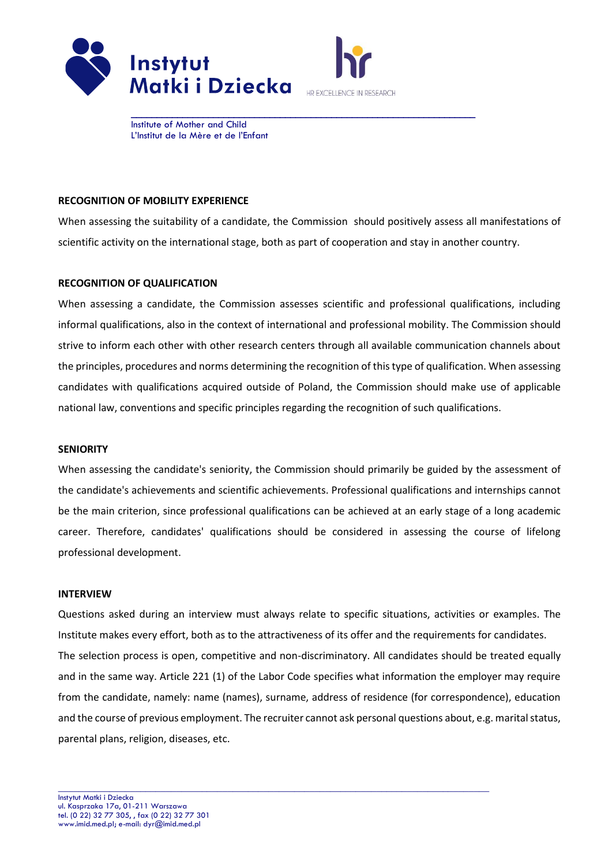



## **RECOGNITION OF MOBILITY EXPERIENCE**

When assessing the suitability of a candidate, the Commission should positively assess all manifestations of scientific activity on the international stage, both as part of cooperation and stay in another country.

#### **RECOGNITION OF QUALIFICATION**

When assessing a candidate, the Commission assesses scientific and professional qualifications, including informal qualifications, also in the context of international and professional mobility. The Commission should strive to inform each other with other research centers through all available communication channels about the principles, procedures and norms determining the recognition of this type of qualification. When assessing candidates with qualifications acquired outside of Poland, the Commission should make use of applicable national law, conventions and specific principles regarding the recognition of such qualifications.

#### **SENIORITY**

When assessing the candidate's seniority, the Commission should primarily be guided by the assessment of the candidate's achievements and scientific achievements. Professional qualifications and internships cannot be the main criterion, since professional qualifications can be achieved at an early stage of a long academic career. Therefore, candidates' qualifications should be considered in assessing the course of lifelong professional development.

#### **INTERVIEW**

Questions asked during an interview must always relate to specific situations, activities or examples. The Institute makes every effort, both as to the attractiveness of its offer and the requirements for candidates. The selection process is open, competitive and non-discriminatory. All candidates should be treated equally and in the same way. Article 221 (1) of the Labor Code specifies what information the employer may require from the candidate, namely: name (names), surname, address of residence (for correspondence), education and the course of previous employment. The recruiter cannot ask personal questions about, e.g. marital status, parental plans, religion, diseases, etc.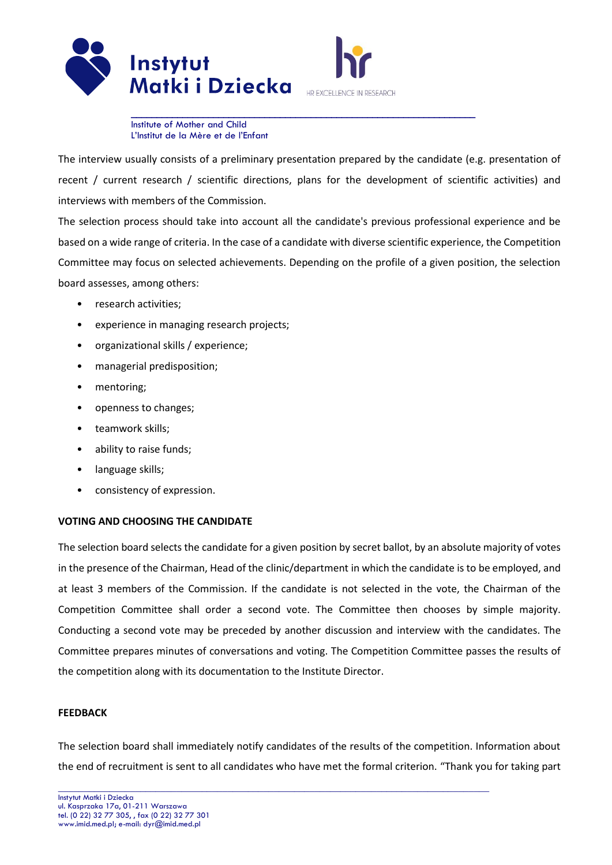

The interview usually consists of a preliminary presentation prepared by the candidate (e.g. presentation of recent / current research / scientific directions, plans for the development of scientific activities) and interviews with members of the Commission.

The selection process should take into account all the candidate's previous professional experience and be based on a wide range of criteria. In the case of a candidate with diverse scientific experience, the Competition Committee may focus on selected achievements. Depending on the profile of a given position, the selection board assesses, among others:

- research activities;
- experience in managing research projects;
- organizational skills / experience;
- managerial predisposition;
- mentoring;
- openness to changes;
- teamwork skills;
- ability to raise funds;
- language skills;
- consistency of expression.

#### **VOTING AND CHOOSING THE CANDIDATE**

The selection board selects the candidate for a given position by secret ballot, by an absolute majority of votes in the presence of the Chairman, Head of the clinic/department in which the candidate is to be employed, and at least 3 members of the Commission. If the candidate is not selected in the vote, the Chairman of the Competition Committee shall order a second vote. The Committee then chooses by simple majority. Conducting a second vote may be preceded by another discussion and interview with the candidates. The Committee prepares minutes of conversations and voting. The Competition Committee passes the results of the competition along with its documentation to the Institute Director.

#### **FEEDBACK**

The selection board shall immediately notify candidates of the results of the competition. Information about the end of recruitment is sent to all candidates who have met the formal criterion. "Thank you for taking part